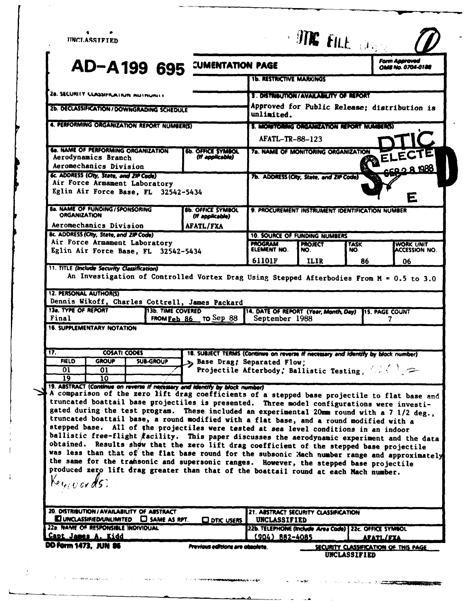| $\bullet$<br><b>IINCLASSIFIED</b>                                                                                                                                                                                                                                                                                                                                                                                                                                                                                                                                                                                                                                                                                                                                                                                                                                                                                                                                                                                                                                                                                                                                                                                              |                                                                                    |                                                                             | <b>SUNK FILE DAY</b> |             |                                                                                            |
|--------------------------------------------------------------------------------------------------------------------------------------------------------------------------------------------------------------------------------------------------------------------------------------------------------------------------------------------------------------------------------------------------------------------------------------------------------------------------------------------------------------------------------------------------------------------------------------------------------------------------------------------------------------------------------------------------------------------------------------------------------------------------------------------------------------------------------------------------------------------------------------------------------------------------------------------------------------------------------------------------------------------------------------------------------------------------------------------------------------------------------------------------------------------------------------------------------------------------------|------------------------------------------------------------------------------------|-----------------------------------------------------------------------------|----------------------|-------------|--------------------------------------------------------------------------------------------|
| AD-A199 695                                                                                                                                                                                                                                                                                                                                                                                                                                                                                                                                                                                                                                                                                                                                                                                                                                                                                                                                                                                                                                                                                                                                                                                                                    | <b>CUMENTATION PAGE</b>                                                            |                                                                             |                      |             | <b>Form Approved</b><br>OMS No. 0704-0188                                                  |
|                                                                                                                                                                                                                                                                                                                                                                                                                                                                                                                                                                                                                                                                                                                                                                                                                                                                                                                                                                                                                                                                                                                                                                                                                                |                                                                                    | <b>1b. RESTRICTIVE MARKINGS</b>                                             |                      |             |                                                                                            |
| 28. SECURITY CLASSIFICATION AUTHUNTER                                                                                                                                                                                                                                                                                                                                                                                                                                                                                                                                                                                                                                                                                                                                                                                                                                                                                                                                                                                                                                                                                                                                                                                          |                                                                                    | 3. DISTRIBUTION/AVAILABILITY OF REPORT                                      |                      |             |                                                                                            |
| 2b. DECLASSIFICATION / DOWNGRADING SCHEDULE                                                                                                                                                                                                                                                                                                                                                                                                                                                                                                                                                                                                                                                                                                                                                                                                                                                                                                                                                                                                                                                                                                                                                                                    | Approved for Public Release; distribution is<br>unlimited.                         |                                                                             |                      |             |                                                                                            |
| 4. PERFORMING ORGANIZATION REPORT NUMBER(S)                                                                                                                                                                                                                                                                                                                                                                                                                                                                                                                                                                                                                                                                                                                                                                                                                                                                                                                                                                                                                                                                                                                                                                                    | 5. MONITORING ORGANIZATION REPORT NUMBER(S)                                        |                                                                             |                      |             |                                                                                            |
|                                                                                                                                                                                                                                                                                                                                                                                                                                                                                                                                                                                                                                                                                                                                                                                                                                                                                                                                                                                                                                                                                                                                                                                                                                |                                                                                    | <b>AFATL-TR-88-123</b>                                                      |                      |             |                                                                                            |
| 68. NAME OF PERFORMING ORGANIZATION<br>Aerodynamics Branch                                                                                                                                                                                                                                                                                                                                                                                                                                                                                                                                                                                                                                                                                                                                                                                                                                                                                                                                                                                                                                                                                                                                                                     | <b>6b. OFFICE SYMBOL</b><br>(If applicable)                                        | 7a. NAME OF MONITORING ORGANIZATION                                         |                      |             | PELECTE                                                                                    |
| Aeromechanics Division<br>6c. ADDRESS (City, State, and ZIP Code)                                                                                                                                                                                                                                                                                                                                                                                                                                                                                                                                                                                                                                                                                                                                                                                                                                                                                                                                                                                                                                                                                                                                                              |                                                                                    |                                                                             |                      |             | 889 B C Q 34                                                                               |
| Air Force Armament Laboratory<br>Eglin Air Force Base, FL 32542-5434                                                                                                                                                                                                                                                                                                                                                                                                                                                                                                                                                                                                                                                                                                                                                                                                                                                                                                                                                                                                                                                                                                                                                           | 7b. ADDRESS (City, State, and ZIP Code)<br>Е                                       |                                                                             |                      |             |                                                                                            |
| <b>8a. NAME OF FUNDING / SPONSORING</b><br><b>ORGANIZATION</b><br>Aeromechanics Division                                                                                                                                                                                                                                                                                                                                                                                                                                                                                                                                                                                                                                                                                                                                                                                                                                                                                                                                                                                                                                                                                                                                       | 9. PROCUREMENT INSTRUMENT IDENTIFICATION NUMBER                                    |                                                                             |                      |             |                                                                                            |
| 8c. ADDRESS (City, State, and ZIP Code)                                                                                                                                                                                                                                                                                                                                                                                                                                                                                                                                                                                                                                                                                                                                                                                                                                                                                                                                                                                                                                                                                                                                                                                        | <b>AFATL/FXA</b>                                                                   | <b>10. SOURCE OF FUNDING NUMBERS</b>                                        |                      |             |                                                                                            |
| Air Force Armament Laboratory                                                                                                                                                                                                                                                                                                                                                                                                                                                                                                                                                                                                                                                                                                                                                                                                                                                                                                                                                                                                                                                                                                                                                                                                  |                                                                                    | <b>PROGRAM</b><br><b>ELEMENT NO.</b>                                        | <b>PROJECT</b>       | <b>TASK</b> | <b>WORK UNIT</b>                                                                           |
| Eglin Air Force Base, FL 32542-5434                                                                                                                                                                                                                                                                                                                                                                                                                                                                                                                                                                                                                                                                                                                                                                                                                                                                                                                                                                                                                                                                                                                                                                                            |                                                                                    | 61101F                                                                      | NO.<br>ILIR          | NO.<br>86   | <b>ACCESSION NO.</b><br>06                                                                 |
|                                                                                                                                                                                                                                                                                                                                                                                                                                                                                                                                                                                                                                                                                                                                                                                                                                                                                                                                                                                                                                                                                                                                                                                                                                |                                                                                    |                                                                             |                      |             | An Investigation of Controlled Vortex Drag Using Stepped Afterbodies From $M = 0.5$ to 3.0 |
| <b>13b. TIME COVERED</b>                                                                                                                                                                                                                                                                                                                                                                                                                                                                                                                                                                                                                                                                                                                                                                                                                                                                                                                                                                                                                                                                                                                                                                                                       | FROM Feb 86 TO Sep 88                                                              | 14. DATE OF REPORT (Year, Month, Day)<br>September 1988                     |                      |             | <b>115. PAGE COUNT</b><br>7.                                                               |
|                                                                                                                                                                                                                                                                                                                                                                                                                                                                                                                                                                                                                                                                                                                                                                                                                                                                                                                                                                                                                                                                                                                                                                                                                                |                                                                                    |                                                                             |                      |             |                                                                                            |
| <b>COSATI CODES</b>                                                                                                                                                                                                                                                                                                                                                                                                                                                                                                                                                                                                                                                                                                                                                                                                                                                                                                                                                                                                                                                                                                                                                                                                            | 18. SUBJECT TERNIS (Continue on reverse if necessary and identify by block number) |                                                                             |                      |             |                                                                                            |
| <b>FIELD</b><br><b>GROUP</b><br><b>SUB-GROUP</b>                                                                                                                                                                                                                                                                                                                                                                                                                                                                                                                                                                                                                                                                                                                                                                                                                                                                                                                                                                                                                                                                                                                                                                               | >> Base Drag; Separated Flow;                                                      |                                                                             |                      |             |                                                                                            |
| $\overline{01}$<br>$\overline{01}$<br>19<br>10                                                                                                                                                                                                                                                                                                                                                                                                                                                                                                                                                                                                                                                                                                                                                                                                                                                                                                                                                                                                                                                                                                                                                                                 | Projectile Afterbody, Ballistic Testing, 4.4                                       |                                                                             |                      |             |                                                                                            |
| <b>12. PERSONAL AUTHOR(S)</b><br>Dennis Wikoff, Charles Cottrell, James Packard<br>13a. TYPE OF REPORT<br>Final<br><b>16. SUPPLEMENTARY NOTATION</b><br>17.<br>19. ABSTRACT (Continue on reverse if necessary and identify by block number)<br>A comparison of the zero lift drag coefficients of a stepped base projectile to flat base and<br>truncated boattail base projectiles is presented. Three model configurations were investi-<br>gated during the test program. These included an experimental 20mm round with a 7 1/2 deg.,<br>truncated boattail base, a round modified with a flat base, and a round modified with a<br>stepped base. All of the projectiles were tested at sea level conditions in an indoor<br>ballistic free-flight facility. This paper discusses the aerodynamic experiment and the data<br>obtained.<br>Results show that the zero lift drag coefficient of the stepped base projectile<br>was less than that of the flat base round for the subsonic Mach number range and approximately<br>the same for the transonic and supersonic ranges. However, the stepped base projectile<br>produced zero lift drag greater than that of the boattail round at each Mach number.<br>Keywords: |                                                                                    |                                                                             |                      |             |                                                                                            |
| 20. DISTRIBUTION / AVAILABILITY OF ABSTRACT<br>$\blacksquare$ UNCLASSIFIED/UNLIMITED $\blacksquare$ SAME AS RPT.                                                                                                                                                                                                                                                                                                                                                                                                                                                                                                                                                                                                                                                                                                                                                                                                                                                                                                                                                                                                                                                                                                               | $\square$ otic users $ $                                                           | 21. ABSTRACT SECURITY CLASSIFICATION<br><b>UNCLASSIFIED</b>                 |                      |             |                                                                                            |
| 22a. NAME OF RESPONSIBLE INDIVIDUAL<br>Capt James A. Kidd                                                                                                                                                                                                                                                                                                                                                                                                                                                                                                                                                                                                                                                                                                                                                                                                                                                                                                                                                                                                                                                                                                                                                                      |                                                                                    | 22b. TELEPHONE (Include Area Code) 22c. OFFICE SYMBOL<br>$(904) 882 - 4085$ |                      |             | <u>AFATL/FXA</u>                                                                           |

**Water Kisharry** ┻

المناسب

العسار

the first company of the company of the company of the company of the company of the company of the company of

 $\sim 10^{-1}$ 

 $\sim 10$ 

и после получения **классивных социа** 

 $\frac{1}{\rho_{\rm c}}$ 

.<br>الحديث المتهاج المعروف الأنوقية و

sean contra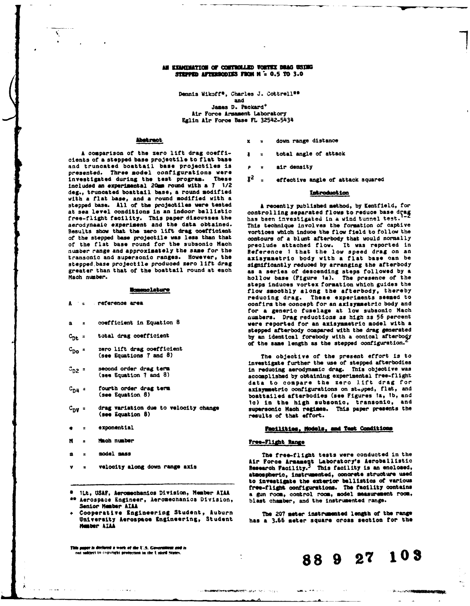### **AM EXAMINATION OF CONTROLLED VORTEX BRAG USING STRPPED AFTERSODIES FROM N = 0.5 TO 3.0**

Dennis Wikoff<sup>\*</sup>, Charles J. Cottrell\*\* and

James **D.** Packard\* Air Force Armament Laboratory Eglin Air Force Base FL 32542-5434

**A** comparison of the zero **lift** drag **cooffi- =** total angle of attack oients **of a** stopped **base** projectile to flat base and truncated boattail base projectiles is **p =** air density presented. Three model configurations were Investigated during the test program. These **j** included an experimental **20m** round with a **7** 1/2 deg., truncated boattail base, a round modified **introduction** with a flat **base,** and a round **modified** with a stepped base. All of the projectiles were tested A recently published method, by Kentfield, for at sea level conditions in an indoor ballistic controlling separated flows to reduce base drag<br>free-flight facility. This paper discusses the the has been investigated in a wind tunnel test. <sup>1-2</sup> free-flight facility. This paper discusses the has been investigated in a wind tunnel test.<sup>1-2</sup><br>aerodynamic experiment and the data obtained. This technique involves the formation of captive<br>Results show that the zero li Results show that the zero lift drag coefficient vortices which induce the flow field to follow the of the stepped base projectile was less than that contours of a blunt afterbody that would normally of the stepped base projectile was less than that contours of a blunt afterbody that would normally<br>of the flat base round for the subsonic Mach speciude attached flow. It was reported in of the flat base round for the subsonic Mach preclude attached flow. It was reported in number range and approximately the same for the geference I that the low speed drag on an number range and approximately the same for the Reference **I** that the low **speed** drag **on** an stepped base projectile produced zero lift drag<br>greater than that of the boattail round at each

- 
- 
- 
- zero lift drag coefficient<br>(see Equations 7 and 8)
- 
- 
- 
- 
- **H = Mach** number Free-Flight **anae**
- 
- 
- 
- Senior Member AIAA<br>Cooperative Engineering Student, Auburn
- Mamber **&IM**

**This paper is declared a work of the U.S. Government and is not subject to convirght protection in the United States.** 

- **Abstract x z down range distance** 
	-
	-
	- **<sup>2</sup>**effective angle of attack squared

axisymmetric body with a flat base can be significantly reduced by arranging the afterbody greater than that of the boattail round at each as a series of descending steps followed **by** a Mach number. hollow base (Figure ti). The presence of the steps induces vortex formation which guides the **Momenolature** *flow smoothly along the afterbody, thereby* reducing drag. These experiments **seemed** to **EXECUTE:**  $\frac{1}{2}$  confirm the concept for an axisymmetric body and for a generic fuselage at low subsonic Mach numbers. Drag reductions as high as **56** percent a **=** coefficient in Equation **8** were reported for an axisymmetric model with a stepped afterbody compared with the drag generated C<sub>Dt</sub> = total drag coefficient **by an identical forebody with a conical afterbody**<br>
C<sub>DO</sub> = zero lift drag coefficient of the same length as the stepped configuration.<sup>2</sup>

(see Equations **7** and **8)** The **objeotive** of the present effort *is* to investigate further the **use of** stepped afterbodies **CD2 = second** order drag term in reducing aerodynamic drag. This objective was accomplished by obtaining experimental free-flight data to compare the zero lift drag for C<sub>D4</sub> = fourth order drag term **axisymmetric configurations on stepped, flat, and**  $($ see Equation 8) **configurations** on stepped, flat, and boattailed afterbodies (see Figures ia, ib, and to) In **the high** subsonic, transonic, and C<sub>D</sub>y = drag variation due to velocity change supersonic Mach regime. This paper presents the declines of that effort.

## **=** exponential **amt.. te .r 0eiis, ai Teat Coaditio"i**

**NECKWAND WERDER MEMORY CONSUMER DRIVE CONSUMER** 

<sup>a</sup>**= model mass** The free-flight tests were conducted In the velocity along down range axis **areas are alleged along the along teen** velocity along down range axis **Research Facility.** This facility is an enolosed, atmospheric, instrmented, **ooncrete structure ued** to investigte the **exterior** ballistics **of** various free-flight configurations. The facility contains **• ILt, USAF, Aeromechanics Division, Member AIAA** a gun room, control room, model measurement room, **5e and 1999**<br>**\*\*** Aerospace Engineer, Aeromechanics Division, blast chamber, and the instrumented range.

Cooperative Engineering Student, Auburn The 207 meter instrumented length of the range<br>University Aerospace Engineering, Student has a 3.66 meter square cross section for the

**NAME OF THE OWNER.** 

**88 9 27 103**

Web August 2000 and 2000 and 2000

 $\sim$   $\sim$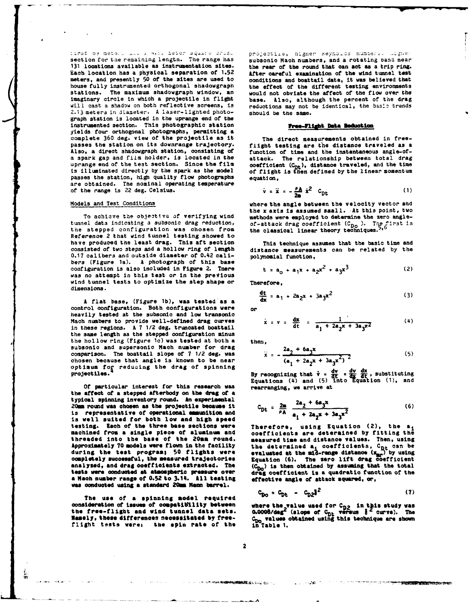Each location has a physical separation **of 1.52** After careful examination **of** the wind tunnel test meters, and presently 50 of the sites are used to conditions and boattail data, it was believed that<br>house fully instrumented orthogonal shadowgraph the effect of the different testing environments house fully instrumented orthogonal shadowgraph stations. The maximum shadowgraph window, an stations. The maximum shadowgraph window, an would **not** obviate the affect **of** the flow over the imaginary circle in which a projectile in flight base. Also, although the percent of the drag<br>will cast a shadow on both reflective screens, is reductions may not be identical, the basic trends 2.13 meters in diameter. A laser-lighted photograph station is located in the uprange end of the instrumented section. This photographic station **Pree-Flight Data Reduction** yields four orthogonal photographs, permitting a complete 360 deg. view of the projectile as it passes the station on its downrange trajectory. flight testing are the distance traveled as a<br>Also, a direct shadowgraph station, consisting of function of time and the instantaneous angle-of-Also, a direct shadowgraph station, consisting of function of time and the instantaneous angle-of-<br>a spark gap and film holder, is located in the strack. The relationship between total drag a spark gap and film holder, is located in the attack. The relationship between total drag<br>uprange end of the test section. Since the film coefficient  $(C_n)$ , distance traveled, and the time uprange end of the test section. Since the film coefficient  $(C_{\text{D}t})$ , distance traveled, and the time is illuminated directly **by** the spark as the model **of** flight is then defined **by** the linear momentum is illuminated directly by the spark as the model of flight passes the station, high quality flow photographs equation, are obtained. The nominal operating temperature of the range is 22 deg. Celsius.

the stepped configuration was chosen from Reference 2 that wind tunnel testing showed to have produced the least drag. This aft section This technique assumes that the basic time and<br>consisted of two steps and a hollow ring of length distance measurements can be related by the 0.17 calibers and outside diameter of 0.42 cali**bers** (Figure la). A photograph **of** this base configuration is also included in Figure 2. There was no attempt in this test or in the previous wind tunnel tests to optimize the step shape or Therefore. dimensions.

A flat base, (Figure 1b), was tested as a control configuration. Both configurations were or heavily tested at the subsonic and low transonic Mach numbers to provide well-defined drag curves in these regions. A 7 1/2 deg. truncated boattail the same length as the stepped configuration minus the hollow ring (Figure 1c) was tested at both a then. subsonic and supersonic Mach number for drag comparison. The boattail slope of 7 1/2 deg. was chosen because that angle is known to be near optimum for reducing the drag of spinning projectiles. projectiles.  $\frac{4}{3}$  by recognizing that  $\dot{v} = \frac{4v}{2c} = \frac{d}{2c}$ , substituting

**Of** particular interest **for** this research was rearranging, we arrive at the affect **of** a stepped afterbody on the **drag** of **<sup>a</sup>** typical spinning inventory round. An experimental **- 2a <sup>2</sup>+ 6\*** ( 20mm round was chosen as the projectile because it is representative of operational amaunition and is well suited for both low and high speed testing. Each of the three base sections were testing. Each of the three base sections were **Therefore, using Equation (2)**, the a<sub>i</sub> adding the section of all and the contracts are determined by fitting the machined from a single piece **of** aluminum **and** coefficients **are** determined **by** fitting the threaded into the base of the 20mm round. **measured time and distance values.** Then, using<br>Approximately 70 models were flown in the facility **the determined a, coefficients**, C<sub>D+</sub> can be Approximately 70 models were flown in the facility the determined a, coefficients, C<sub>Dt</sub> can be<br>during the test program; 50 flights were evaluated at the mid-range distance (x<sub>mo</sub>) by using during the test program; 50 flights were evaluated at the mid-range distance  $(x_{nn}^{N})$  by using<br>completely successful, the measured trajectories <br>analyzed, and drag coefficients extracted. The  $(c_{nn})$  is then obtained by as analyzed, and drag coefficients extracted. The tets were conducted at **atmospheric** pressure over drag coefficient is a quadratic function of the a Mach **number range of 0.52** to 3.14. **All testing** effective angle **of** attack squared, or, **was** conducted using **a standard** *am* barrel.

The use of **a** spinning **model** required consideration of issues of compatibility between where the value used for  $C_{D2}$  in this study was<br>the free-flight and wind tunnel data sets. 0.0008/deg<sup>2</sup> (slope of C<sub>na</sub> versus  $\frac{2}{3}$  curve). The **Namely, these differences** necessitated **by** free- **CD values** obtained using this technique are shown **Hamely, these differences necessitated by free-<br>flight tests were: the spin rate of the** 

三彩

section for the remaining length. The range has subsonic Mach numbers, and a rotating band near section for the remaining length. The range has subsonic Mach numbers, and a rotating band near 131 locations available as ins the rear of the round that can act as a trip ring.<br>After careful examination of the wind tunnel test reductions may not be identical, the basic trends should be the same.

The direct measurements obtained in free-

$$
\dot{v} = \dot{x} = -\frac{\rho \Lambda}{2m} \dot{x}^2 C_{Dt}
$$
 (1)

Models and Test Conditions where the angle between the velocity vector and the x axis is assumed small. At this point, two To achieve the objective of verifying wind<br>tunnel data indicating a subsonic drag reduction.  $\alpha$ fistack drag coefficient  $(c_n)$ . The first is of-attack drag coefficient  $(C_{D_0})$ . The first is the classical linear theory techniques.<sup>5,6</sup>

distance measurements can be related by the polynomial function.

$$
t = a_0 + a_1 x + a_2 x^2 + a_3 x^3 \tag{2}
$$

\* The contract of the contract of the contract of the contract of the contract of the contract of the contract of the contract of the contract of the contract of the contract of the contract of the contract of the contract

$$
\frac{dt}{dx} = a_1 + 2a_2x + 3a_3x^2
$$
 (3)

$$
x = v = \frac{dx}{dt} = \frac{1}{a_1 + 2a_2x + 3a_3x^2}
$$
 (4)

$$
x = -\frac{2a_2 + 6a_3x}{(a_1 + 2a_2x + 3a_3x^2)^2}
$$
 (5)

Equations (4) and (5) into Equation (1), and

$$
C_{\rm Dt} = \frac{2m}{\rho_A} \frac{2a_2 + 6a_3x}{a_1 + 2a_2x + 3a_3x^2} \tag{6}
$$

$$
c_{\mathbf{D}\mathbf{o}} = c_{\mathbf{D}\mathbf{t}} - c_{\mathbf{D}2}\mathbf{\delta}^2 \tag{7}
$$

**STATISTICS IN AN INCOME CARDS** 

and the 200 m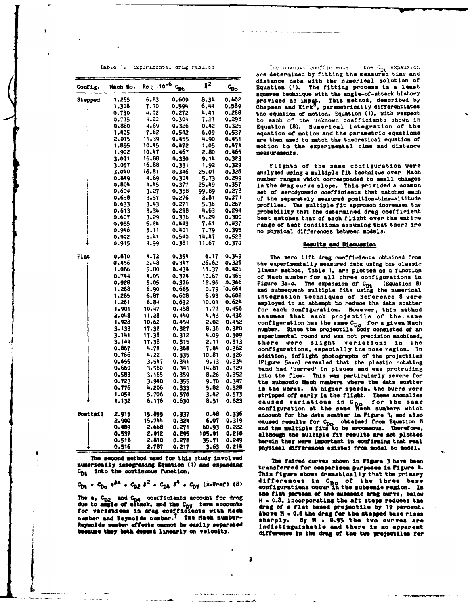|                 |          |                                |       |        | are determined by fitting the measured time and |                                                                                                       |
|-----------------|----------|--------------------------------|-------|--------|-------------------------------------------------|-------------------------------------------------------------------------------------------------------|
|                 |          | $Re \ell \cdot 10^{-6} C_{Dt}$ |       | $\S^2$ |                                                 | distance data with the numerical solution of                                                          |
| Config.         | Mach No. |                                |       |        | $c_{\underline{p}\underline{o}}$                | The fitting process is a least<br>Equation (1).<br>squares technique with the angle-of-attack history |
| Stepped         | 1.265    | 6.83                           | 0.609 | 8.34   | 0.602                                           | provided as input. This method, described by                                                          |
|                 | 1.308    | 7.10                           | 0.594 | 6.44   | 0.589                                           | Chapman and Kirk <sup>8</sup> , parametrically differentiates                                         |
|                 | 0.730    | 4.02                           | 0.272 | 4,41   | 0.268                                           | the equation of motion, Equation (1), with respect                                                    |
|                 | 0.775    | 4.22                           | 0.304 | 7.27   | 0.298                                           |                                                                                                       |
|                 | 0.860    | 4.69                           | 0.326 | 0.42   | 0.325                                           | to each of the unknown coefficients shown in                                                          |
|                 | 1.405    |                                | 0.542 |        |                                                 | Numerical integration of the<br>Equation (8).                                                         |
|                 |          | 7.62                           |       | 6.09   | 0.537                                           | equation of motion and the parametric equations                                                       |
|                 | 2.075    | 11.39                          | 0.455 | 4.90   | 0.451                                           | are then used to match the theoretical equation of                                                    |
|                 | 1,895    | 10.45                          | 0.472 | 1.05   | 0.471                                           | motion to the experimental time and distance                                                          |
|                 | 1.902    | 10.47                          | 0.467 | 2.80   | 0.465                                           | measurements.                                                                                         |
|                 | 3.071    | 16.88                          | 0.330 | 9.14   | 0.323                                           |                                                                                                       |
|                 | 3.057    | 16.88                          | 0.331 | 1.92   | 0.329                                           | Flights of the same configuration were                                                                |
|                 | 3.040    | 16.81                          | 0.346 | 25.01  | 0.326                                           | analyzed using a multiple fit technique over Mach                                                     |
|                 | 0.849    | 4.69                           | 0.304 | 5.73   | 0.299                                           | number ranges which corresponded to small changes                                                     |
|                 | 0.804    | 4.45                           | 0.377 | 25.49  | 0.357                                           | in the drag curve slope. This provided a common                                                       |
|                 | 0.604    | 3.27                           | 0.358 | 99.89  | 0.278                                           | set of aerodynamic coefficients that matched each                                                     |
|                 | 0.658    | 3.57                           | 0.276 | 2.81   | 0.274                                           | of the separately measured position-time-altitude                                                     |
|                 | 0.633    | 3.43                           | 0.271 | 5.36   | 0.267                                           | profiles. The multiple fit approach increases the                                                     |
|                 | 0.613    | 3.34                           | 0.298 | 4.63   | 0.294                                           | probability that the determined drag coefficient                                                      |
|                 | 0.607    | 3.29                           | 0.336 | 45.29  | 0.300                                           | best matches that of each flight over the entire                                                      |
|                 | 0.955    | 5.24                           | 0.443 | 7.61   | 0.437                                           | range of test conditions assuming that there are                                                      |
|                 | 0.946    | 5.11                           | 0.401 | 7.79   | 0.395                                           | no physical differences between models.                                                               |
|                 | 0.992    | 5.41                           | 0.540 | 14.47  | 0.528                                           |                                                                                                       |
|                 | 0.915    | 4.99                           | 0.381 | 11.67  | 0.370                                           | <b>Results and Discussion</b>                                                                         |
| Flat            | 0.870    | 4.72                           | 0.354 | 6.17   | 0.349                                           | The zero lift drag coefficients obtained from                                                         |
|                 | 0.456    | 2.48                           | 0.347 |        | 26.62 0.326                                     | the experimentally measured data using the classio                                                    |
|                 | 1.066    | 5.80                           | 0.434 | 11.37  | 0.425                                           | linear method, Table 1, are plotted as a function                                                     |
|                 | 0.744    | 4.05                           | 0.374 | 10.67  | 0.365                                           |                                                                                                       |
|                 | 0.928    | 5.05                           | 0.376 | 12.96  | 0.366                                           | of Mach number for all three configurations im<br>(Equation 8                                         |
|                 | 1.268    | 6.90                           | 0.665 | 0.79   | 0.664                                           | Figure 3a-c. The expansion of C <sub>Dt</sub>                                                         |
|                 | 1.265    | 6.87                           | 0.608 | 6.93   | 0.602                                           | and subsequent multiple fits using the numerica.                                                      |
|                 | 1.261    | 6.84                           | 0.632 | 10.01  | 0.624                                           | integration techniques of Reference 8 were                                                            |
|                 | 1.901    | 10.47                          | 0.458 | 1.77   | 0.456                                           | employed in an attempt to reduce the data scatter                                                     |
|                 | 2.048    |                                |       |        |                                                 | for each configuration. However, this metho-                                                          |
|                 |          | 11.28                          | 0.440 | 4.43   | 0.436                                           | assumes that each projectile of the same                                                              |
|                 | 1.928    | 10.62                          | 0.454 | 2.02   | 0.452                                           | configuration has the same C <sub>DO</sub> for a given Mac                                            |
|                 | 3.133    | 17.32                          | 0.327 | 8.36   | 0.320                                           | number. Since the projectile body consisted of a                                                      |
|                 | 3.141    | 17.38                          | 0.312 | 4.09   | 0.309                                           | experimental round and was not precision machined                                                     |
|                 | 3.144    | 17.38                          | 0.315 | 2.11   | 0.313                                           | there were slight variations in the                                                                   |
|                 | 0.867    | 4.78                           | 0.368 | 7.84   | 0.362                                           | configurations, especially the nose region. I                                                         |
|                 | 0.766    | 4.22                           | 0.335 | 10.81  | 0.326                                           | addition, inflight photographs of the projectile                                                      |
|                 | 0.655    | 3.547                          | 0.341 | 9.13   | 0.334                                           | (Figure 5a-c) revealed that the plastic rotatin                                                       |
|                 | 0.660    | 3.580                          | 0.341 | 14.81  | 0.329                                           | band had 'burred' in places and was protrudin                                                         |
|                 | 0.583    | 3.165                          | 0.359 | 8.26   | 0.352                                           | into the flow.<br>This was particularly severe fo                                                     |
|                 | 0.723    | 3.940                          | 0.355 | 9.70   | 0.347                                           | the subsonic Mach numbers where the data scatte                                                       |
|                 | 0.776    | 4.206                          | 0.333 | 5.82   | 0.328                                           | is the worst. At higher speeds, the burrs wer                                                         |
|                 | 1.054    | 5.706                          | 0.576 | 3.42   | 0.573                                           | stripped off early in the flight. These anomalie                                                      |
|                 | 1.132    | 6.176                          | 0.630 | 8.51   | 0.623                                           | caused variations in C <sub>Do</sub><br>for the sam                                                   |
|                 |          |                                |       |        |                                                 | configuration at the same Nach numbers which                                                          |
| <b>Boattail</b> | 2.915    | 15.855                         | 0.337 |        | $0.48$ $0.336$                                  | account for the data scatter in Figure 3, and als                                                     |
|                 | 2.900    | 15.744                         | 0.324 | 6.07   | 0.319                                           | caused results for C <sub>DO</sub> obtained from Equation                                             |
|                 | 0.489    | 2.668                          | 0.271 | 60.93  | 0.222                                           | and the multiple fits to be erroneous. Therefore                                                      |
|                 | 0.537    | 2.912                          | 0.295 | 105.91 | 0.210                                           | although the multiple fit results are not plotte                                                      |
|                 | 0.518    | 2.810                          | 0.278 |        | 35.71 0.249                                     | herein they were important in confirming that rea                                                     |
|                 | 0.516    | 2.787                          | 0.217 | 3.63   | 0.214                                           | physical differences existed from model to model.                                                     |

The **second method** used for this study invol **ved The** falred curves shown In *figure* **3** have been numerically integrating Equation (1) and expending  $C_{\text{De}}$  into the continuous function,

 $C_{\text{D}t}$  **•**  $C_{\text{D}0}$   $e^{2a}$  +  $C_{\text{D}2}$   $e^{2}$  +  $C_{\text{D}4}$   $e^{4}$  +  $C_{\text{D}7}$   $(iz\text{-}V\text{-}er)$  (8)

**due** to **sm** <sup>e</sup>**of aleek,** and the **CD term accounts drag of a flat based projetile by 19** percent. for **variations In drag coeffients with Maoh Above x** 2 0.6 the drag for the stepped **base** rises **number and Reynolds number.** The Hach number-<br> **7** The Hack number and Reynolds number- *Alexander and Sharply.* By **M** = 0.95 the two curves are **Reymolds mmbe effects cannot be eeily searted indistinguishable and** there **Is no apparent**

**.. . .... .**

Table 1. Experimental arag results in the unknown coefficients in the  $\zeta_\mathrm{DL}$  expa: are determined **by** fitting the measured time and distance data with the numerical solution of **Config. Mach** o. Rej **.106** e **2 CDo** Equation **(1).** The fitting process **is** a least squares technique with the angle-of-attack history **0.730** 4.02 **0.272** 4.41 **0.268** the equation of motion, Equation **(1),** with respect to each of the unknown coefficients shown in Equation (8). Numerical integration of the equation of motion and the parametric equations are then used to match the theoretical equation of notion to the experimental time and distance **1.902** 10.47 0.467 **2.80** 0.465 measurements.

### **0.915** 4.99 0.381 **11.67 0.370** Rsults **and** Discussion

transferred for comparison purposes in Figure 4.<br>This figure shows dramatically that the primary differences in C<sub>Do</sub> of the three base<br>configurations occur in the subsonic region. In **the a,**  $c_{n2}$  **and**  $c_{n1}$  overficients account for drag  $u = 0.8$ , incorporating the subscribe drag ourve, below IThe a,  $c_{n2}$  and  $c_{n3}$  overficients account for drag  $u = 0.8$ , incorporating the aft steps reduces the **because they both depend linearly on velocity. difference in the drag of the two projectiles for** t **<sup>3</sup>**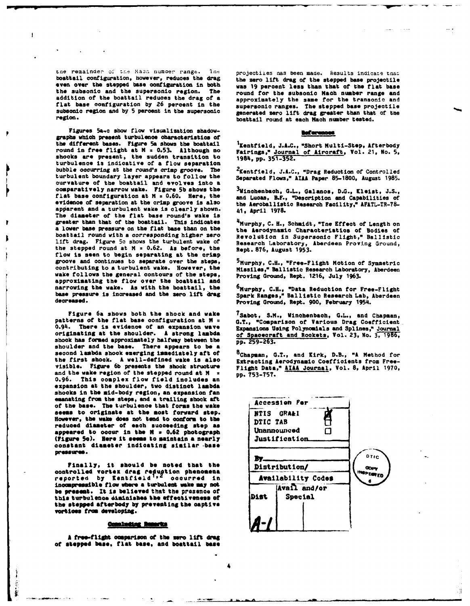j

 $\frac{1}{2}$ 

the remainder of the Mach number range. Ine projectiies nas been made. Results indicate that<br>**boattail configuration, however, reduces the drag** the zero lift drag of the stenned base projectile **even** over the stepped base configuration in both **was 19** percent less than that of the flat base the subsonic and the supersonic region. The **round** for the subsonic Mach number range and addition of the boattail reduces the drag of a **supersonic Mach number** range and flat base configuration **by 26** percent in the supersonic ranges. The stepped base projectile subsonic region and by 5 percent in the supersonic generated zero lift drag greater than that of the region.

Figures 5a-c show flow visualization shadowgraphs which present turbulence characteristics of the different bases. Figure 5a shows the boattail <sup>1</sup>Xentfield, J.A.C., "Short Multi-Step, Afterbody round in free flight at M = 0.53. Although no Fairings," <u>Journal of Aircraft</u>, Vol. 21, No. 5, round in free flight at M = 0.53. Although no shocks are present, the sudden transition to **1984, pp. 351-352.** turbulence is indicative of a flow separation bubble occurring at the round's crisp **groove.** The <sup>2</sup> Kentfield, **J.A.C.,** "Drag Reduction of Controlled turbulent boundary layer appears to follow the Separated Flows," **AILA Paper 85-1800,** August **1985.** curvature counter, mayor appears of the correct care of **comparatively narrow wake. Figure 5b** shows the 3 Vinchenbaoh, G.L., Galanos, **D.G.,** Kleist, **J.S.,** flat base configuration at M **= 0.60. Here,** the and Lucas, B.F., "Description and Capabilities of evidence of separation at the crimp groove is **also** the Aeroballistic Research Facility," AFATL-TR-78 apparent and a turbulent wake is clearly shown. 41, April **1978.** The diameter of the flat base round's wake is greater than that of the boattail. This indicates greater than that of the boattail. This indicates  $\frac{4}{3}$ Murphy, C. H., Schmidt, "The Effect of Length on a lower base pressure on the flat base than on the the Aerodynamic Characteristics of Bodies of boattail round wit lift drag. Figure **5c** shows the turbulent wake of Research Laboratory, Aberdeen Proving Ground, the stepped round at <sup>M</sup>z **0.62.** As before, the Rept. **876, August 1953.** flow is **seen** to begin separating at the crimp groove and continues to separate over the steps, 5 Murphy, **C.H.,** "Free-Flight Motion of Symmetric contributing to a turbulent wake. However, the Missiles," Ballistic Research Laboratory, Aberdeen wake follows the general contours of the steps, Proving Ground, Rept. **1216,** July **1963.** approximating the flow over the boattail and narrowing the wake. As with the boattail, the base pressure is increased and the zero lift drag **base pressure is increased and the boattail, the company, C.H., "Data Reduction for Free-Flight**<br>base pressure is increased and the zero lift drag Spark Ranges," Ballistic Research Lab, Aberdeen<br>decreased.

Figure **6a** shows both the shook and **wake** 7Sabot, **S.M.,** inchenbach, G.L., and Chapman, patterns of the flat base configuration at **H = G.T.,** "Comparison **of** Various Drag Coefficient 0.94. **There** is evidence **of** an expansion **wave** Expansions Using Polynomials and Splines," Journal **originating at** the shoulder. A strong **lambda** of Spacecraft and Rockets, Vol. **23, No.** 3, 19-W, shook **has** formed approximately halfway between the **pp. 259-263.** shoulder **and** the **base.** There appears to **be** <sup>a</sup> the first shook. A well-defined wake is also Extracting Aerodynamic Coefficients from Freevisible. Figure **6b** presents the shook **struoture** Flight Data," **AIIA** Journal, Vol. **8,** April **1970,** and the wake region of the stepped round at **N**<sub>2</sub> **pp. 753-757. 0.96. This** complex flow field includes an expansion at the shoulder, two distinct lambda shocks in the mid-body region, an expansion *fan* emanating from the steps, **and a** trailing **shook** aft **Accession For** of **the** base. The turbulence that forms the wake **seems** to originate at **the** most **forward step. NTIS** GRA&I However, the wake does not tend to conform to the DTIC TAB reduced **diameter** of **each** succeeding **step as appeared to occur in the M = 0.62 photograph bundamounced**  $\Box$ **<br>(Figure 5c). Here it seems to maintain a nearly Justification (Figure 5c). Here it seems to maintain a nearly** constant **diameter Indicating similar -base**

**Finally, it should be noted** that **the** Distribution/ controlled vortex drag reduction phenomena **and all public on** reported **by Kentfield occurred in** Availability **Codes** incompressible flow where a turbulent wake may not **be present.** *It* **is believed** that the presence **or** this turbulence diminishes the effectiveness of **Dist** | Special the **steped afterbedy by preventing the captive vortiees from developing.**

### **Completing Remarks**

A free-flight comparison of the zero lift drag **of stopped bose, flat base, and beattail hase** the zero lift drag of the stepped base projectile approximately the same for the transonic and boattail round at each Mach number tested.

Kentfield, **J.A.C.,** "Short Multi-Step, Afterbody

the Aerodynamic Characteristics of Bodies of Revolution in Supersonic Flight," Ballistic

Proving Ground, Rept. 900, February 1954.

second lambda shook emerging immediately aft **of** <sup>8</sup> Chapman, **G.T.,** and Kirk, D.B., **"A** Method for



Ã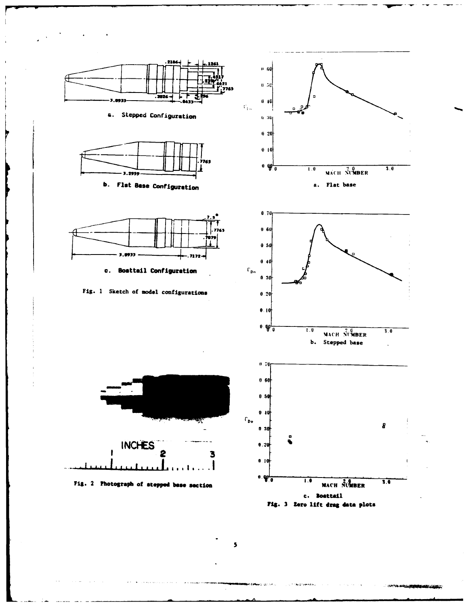



 $\overline{\phantom{a}}$